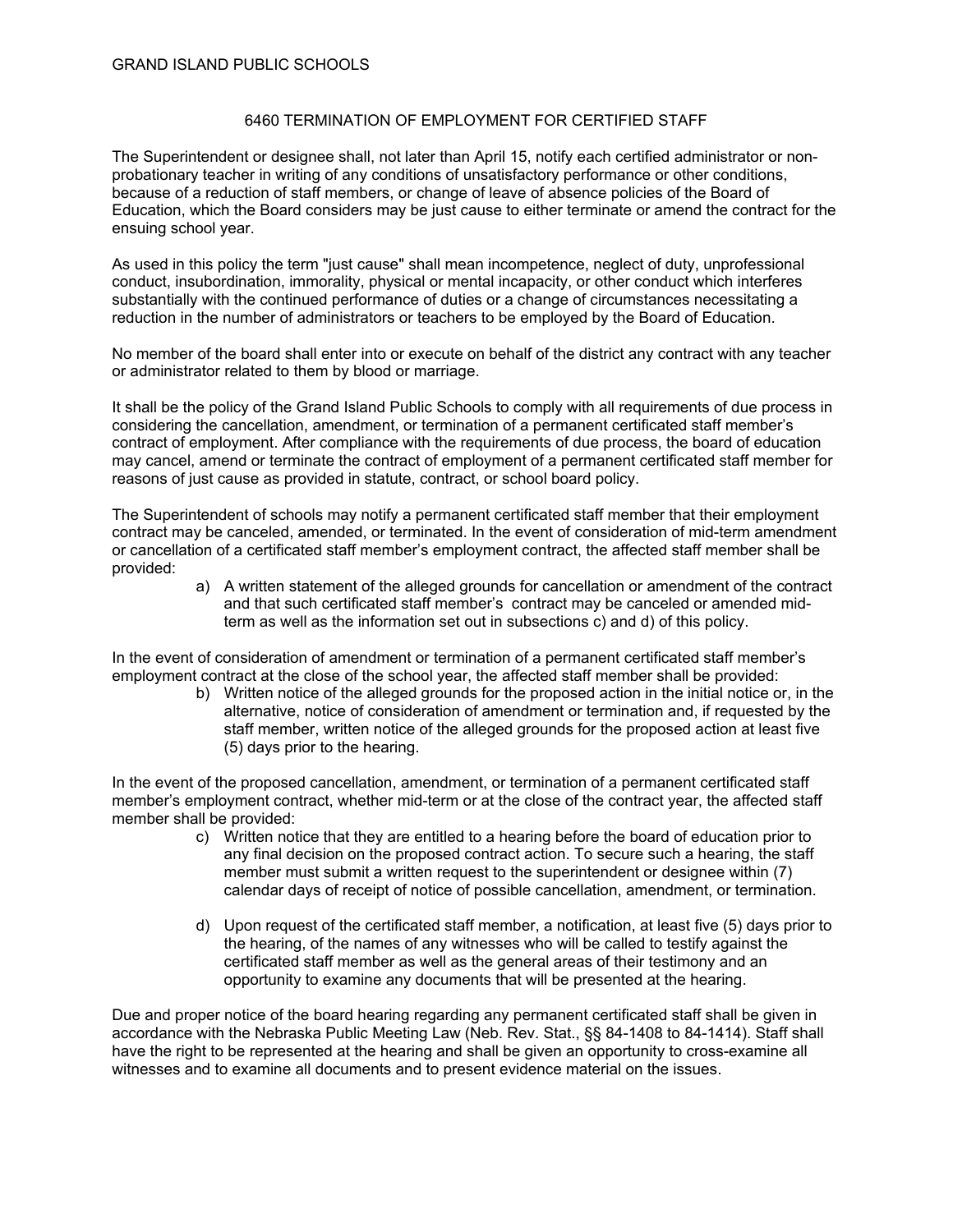## 6460 TERMINATION OF EMPLOYMENT FOR CERTIFIED STAFF

The Superintendent or designee shall, not later than April 15, notify each certified administrator or nonprobationary teacher in writing of any conditions of unsatisfactory performance or other conditions, because of a reduction of staff members, or change of leave of absence policies of the Board of Education, which the Board considers may be just cause to either terminate or amend the contract for the ensuing school year.

As used in this policy the term "just cause" shall mean incompetence, neglect of duty, unprofessional conduct, insubordination, immorality, physical or mental incapacity, or other conduct which interferes substantially with the continued performance of duties or a change of circumstances necessitating a reduction in the number of administrators or teachers to be employed by the Board of Education.

No member of the board shall enter into or execute on behalf of the district any contract with any teacher or administrator related to them by blood or marriage.

It shall be the policy of the Grand Island Public Schools to comply with all requirements of due process in considering the cancellation, amendment, or termination of a permanent certificated staff member's contract of employment. After compliance with the requirements of due process, the board of education may cancel, amend or terminate the contract of employment of a permanent certificated staff member for reasons of just cause as provided in statute, contract, or school board policy.

The Superintendent of schools may notify a permanent certificated staff member that their employment contract may be canceled, amended, or terminated. In the event of consideration of mid-term amendment or cancellation of a certificated staff member's employment contract, the affected staff member shall be provided:

a) A written statement of the alleged grounds for cancellation or amendment of the contract and that such certificated staff member's contract may be canceled or amended midterm as well as the information set out in subsections c) and d) of this policy.

In the event of consideration of amendment or termination of a permanent certificated staff member's employment contract at the close of the school year, the affected staff member shall be provided:

> b) Written notice of the alleged grounds for the proposed action in the initial notice or, in the alternative, notice of consideration of amendment or termination and, if requested by the staff member, written notice of the alleged grounds for the proposed action at least five (5) days prior to the hearing.

In the event of the proposed cancellation, amendment, or termination of a permanent certificated staff member's employment contract, whether mid-term or at the close of the contract year, the affected staff member shall be provided:

- c) Written notice that they are entitled to a hearing before the board of education prior to any final decision on the proposed contract action. To secure such a hearing, the staff member must submit a written request to the superintendent or designee within (7) calendar days of receipt of notice of possible cancellation, amendment, or termination.
- d) Upon request of the certificated staff member, a notification, at least five (5) days prior to the hearing, of the names of any witnesses who will be called to testify against the certificated staff member as well as the general areas of their testimony and an opportunity to examine any documents that will be presented at the hearing.

Due and proper notice of the board hearing regarding any permanent certificated staff shall be given in accordance with the Nebraska Public Meeting Law (Neb. Rev. Stat., §§ 84-1408 to 84-1414). Staff shall have the right to be represented at the hearing and shall be given an opportunity to cross-examine all witnesses and to examine all documents and to present evidence material on the issues.